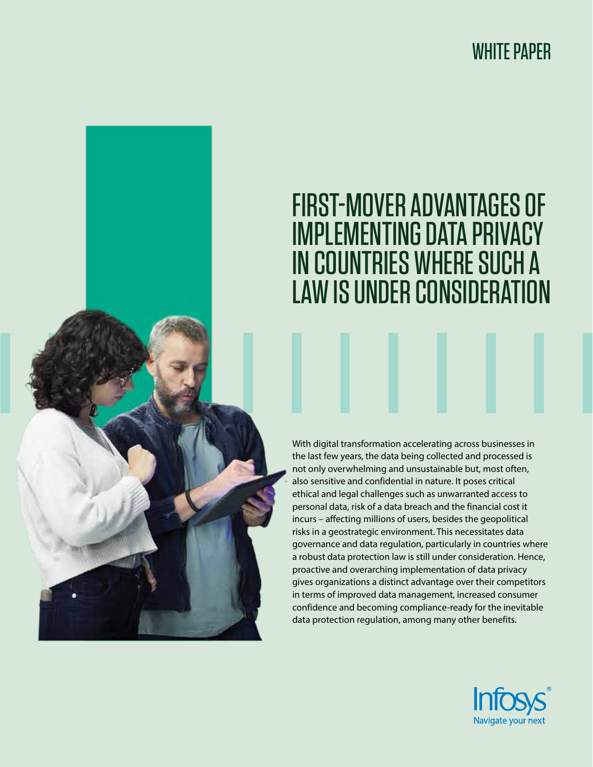# WHITE PAPER

# FIRST-MOVER ADVANTAGES OF IMPLEMENTING DATA PRIVACY IN COUNTRIES WHERE SUCH A LAW IS UNDER CONSIDERATION

With digital transformation accelerating across businesses in the last few years, the data being collected and processed is not only overwhelming and unsustainable but, most often, also sensitive and confidential in nature. It poses critical ethical and legal challenges such as unwarranted access to personal data, risk of a data breach and the financial cost it incurs – affecting millions of users, besides the geopolitical risks in a geostrategic environment. This necessitates data governance and data regulation, particularly in countries where a robust data protection law is still under consideration. Hence, proactive and overarching implementation of data privacy gives organizations a distinct advantage over their competitors in terms of improved data management, increased consumer confidence and becoming compliance-ready for the inevitable data protection regulation, among many other benefits.

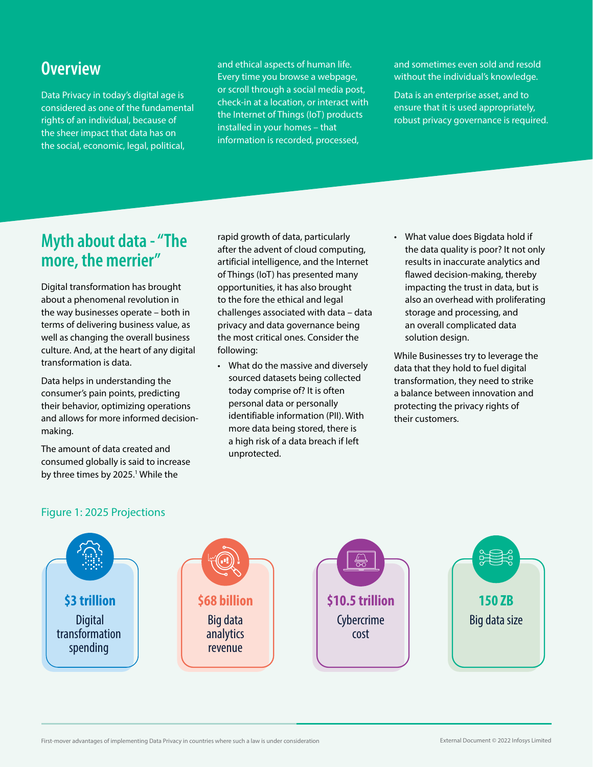### **Overview**

Data Privacy in today's digital age is considered as one of the fundamental rights of an individual, because of the sheer impact that data has on the social, economic, legal, political,

and ethical aspects of human life. Every time you browse a webpage, or scroll through a social media post, check-in at a location, or interact with the Internet of Things (IoT) products installed in your homes – that information is recorded, processed,

and sometimes even sold and resold without the individual's knowledge.

Data is an enterprise asset, and to ensure that it is used appropriately, robust privacy governance is required.

### **Myth about data - "The more, the merrier"**

Digital transformation has brought about a phenomenal revolution in the way businesses operate – both in terms of delivering business value, as well as changing the overall business culture. And, at the heart of any digital transformation is data.

Data helps in understanding the consumer's pain points, predicting their behavior, optimizing operations and allows for more informed decisionmaking.

The amount of data created and consumed globally is said to increase by three times by 2025.<sup>1</sup> While the

rapid growth of data, particularly after the advent of cloud computing, artificial intelligence, and the Internet of Things (IoT) has presented many opportunities, it has also brought to the fore the ethical and legal challenges associated with data – data privacy and data governance being the most critical ones. Consider the following:

- What do the massive and diversely sourced datasets being collected today comprise of? It is often personal data or personally identifiable information (PII). With more data being stored, there is a high risk of a data breach if left unprotected.
- What value does Bigdata hold if the data quality is poor? It not only results in inaccurate analytics and flawed decision-making, thereby impacting the trust in data, but is also an overhead with proliferating storage and processing, and an overall complicated data solution design.

While Businesses try to leverage the data that they hold to fuel digital transformation, they need to strike a balance between innovation and protecting the privacy rights of their customers.



#### Figure 1: 2025 Projections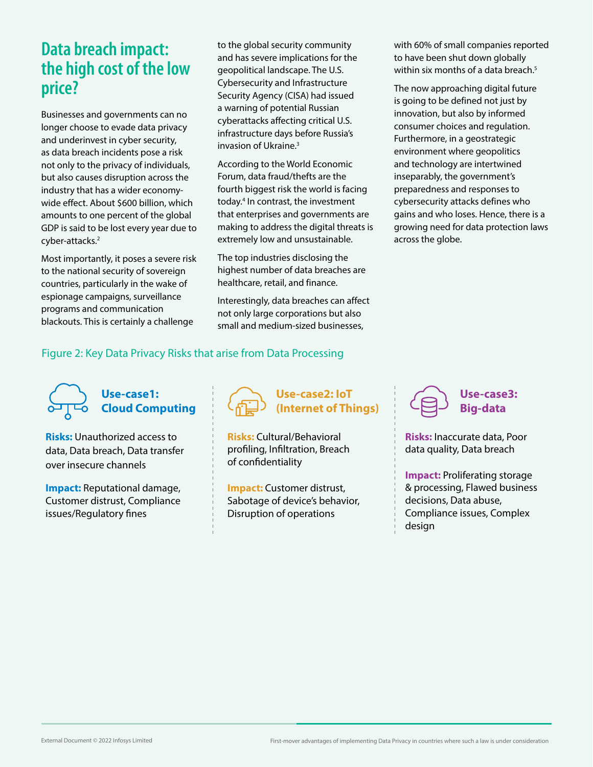### **Data breach impact: the high cost of the low price?**

Businesses and governments can no longer choose to evade data privacy and underinvest in cyber security, as data breach incidents pose a risk not only to the privacy of individuals, but also causes disruption across the industry that has a wider economywide effect. About \$600 billion, which amounts to one percent of the global GDP is said to be lost every year due to cyber-attacks.2

Most importantly, it poses a severe risk to the national security of sovereign countries, particularly in the wake of espionage campaigns, surveillance programs and communication blackouts. This is certainly a challenge

to the global security community and has severe implications for the geopolitical landscape. The U.S. Cybersecurity and Infrastructure Security Agency (CISA) had issued a warning of potential Russian cyberattacks affecting critical U.S. infrastructure days before Russia's invasion of Ukraine.3

According to the World Economic Forum, data fraud/thefts are the fourth biggest risk the world is facing today.<sup>4</sup> In contrast, the investment that enterprises and governments are making to address the digital threats is extremely low and unsustainable.

The top industries disclosing the highest number of data breaches are healthcare, retail, and finance.

Interestingly, data breaches can affect not only large corporations but also small and medium-sized businesses,

with 60% of small companies reported to have been shut down globally within six months of a data breach.<sup>5</sup>

The now approaching digital future is going to be defined not just by innovation, but also by informed consumer choices and regulation. Furthermore, in a geostrategic environment where geopolitics and technology are intertwined inseparably, the government's preparedness and responses to cybersecurity attacks defines who gains and who loses. Hence, there is a growing need for data protection laws across the globe.

#### Figure 2: Key Data Privacy Risks that arise from Data Processing



**Risks:** Unauthorized access to data, Data breach, Data transfer over insecure channels

**Impact:** Reputational damage, Customer distrust, Compliance issues/Regulatory fines



**Use-case2: IoT (Internet of Things)**

**Risks:** Cultural/Behavioral profiling, Infiltration, Breach of confidentiality

**Impact:** Customer distrust, Sabotage of device's behavior, Disruption of operations



**Risks:** Inaccurate data, Poor data quality, Data breach

**Impact:** Proliferating storage & processing, Flawed business decisions, Data abuse, Compliance issues, Complex design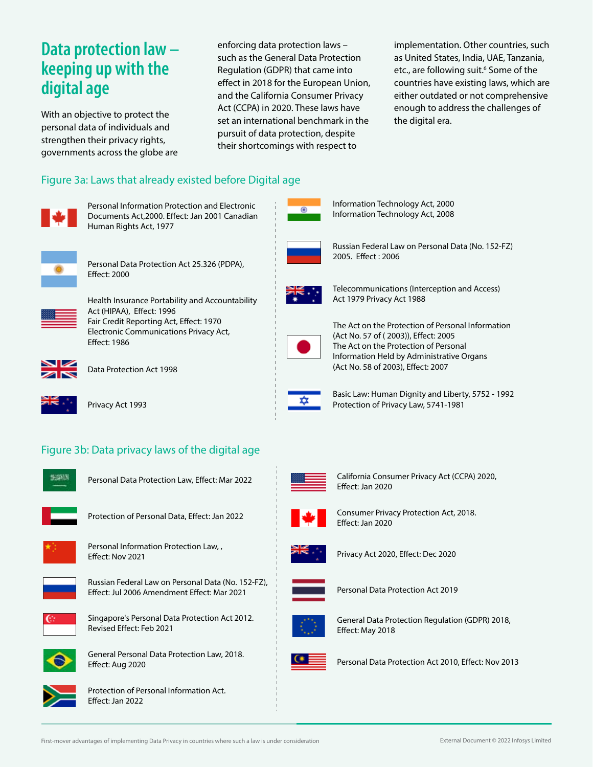### **Data protection law – keeping up with the digital age**

With an objective to protect the personal data of individuals and strengthen their privacy rights, governments across the globe are enforcing data protection laws – such as the General Data Protection Regulation (GDPR) that came into effect in 2018 for the European Union, and the California Consumer Privacy Act (CCPA) in 2020. These laws have set an international benchmark in the pursuit of data protection, despite their shortcomings with respect to

implementation. Other countries, such as United States, India, UAE, Tanzania, etc., are following suit.<sup>6</sup> Some of the countries have existing laws, which are either outdated or not comprehensive enough to address the challenges of the digital era.

#### Figure 3a: Laws that already existed before Digital age



Personal Information Protection and Electronic Documents Act, 2000. Effect: Jan 2001 Canadian Human Rights Act, 1977



Personal Data Protection Act 25.326 (PDPA), **Effect: 2000** 



Health Insurance Portability and Accountability Act (HIPAA), Effect: 1996 Fair Credit Reporting Act, Effect: 1970 Electronic Communications Privacy Act, Effect: 1986



Data Protection Act 1998



Privacy Act 1993

### Figure 3b: Data privacy laws of the digital age



Personal Data Protection Law, Effect: Mar 2022



Protection of Personal Data, Effect: Jan 2022



Personal Information Protection Law, , Effect: Nov 2021



Russian Federal Law on Personal Data (No. 152-FZ), Effect: Jul 2006 Amendment Effect: Mar 2021



Singapore's Personal Data Protection Act 2012. Revised Effect: Feb 2021



General Personal Data Protection Law, 2018. Effect: Aug 2020



Protection of Personal Information Act. Effect: Jan 2022



Information Technology Act, 2000 Information Technology Act, 2008



Russian Federal Law on Personal Data (No. 152-FZ) 2005. Effect: 2006



Telecommunications (Interception and Access) Act 1979 Privacy Act 1988



The Act on the Protection of Personal Information (Act No. 57 of (2003)), Effect: 2005 The Act on the Protection of Personal Information Held by Administrative Organs (Act No. 58 of 2003), Effect: 2007



Basic Law: Human Dignity and Liberty, 5752 - 1992 Protection of Privacy Law, 5741-1981



California Consumer Privacy Act (CCPA) 2020, Effect: Jan 2020



Consumer Privacy Protection Act, 2018. Effect: Jan 2020

![](_page_3_Picture_44.jpeg)

Privacy Act 2020, Effect: Dec 2020

![](_page_3_Picture_46.jpeg)

Personal Data Protection Act 2019

![](_page_3_Picture_48.jpeg)

General Data Protection Regulation (GDPR) 2018, Effect: May 2018

![](_page_3_Picture_50.jpeg)

Personal Data Protection Act 2010, Effect: Nov 2013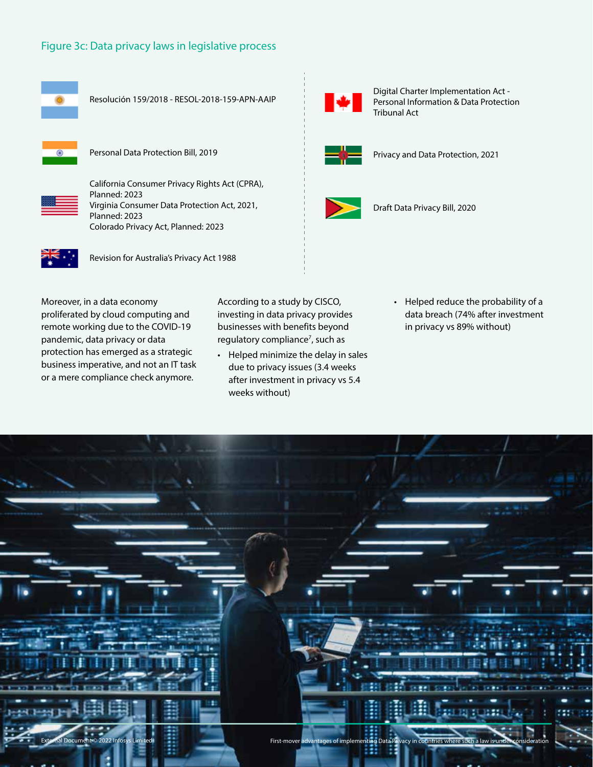#### Figure 3c: Data privacy laws in legislative process

![](_page_4_Figure_1.jpeg)

Resolución 159/2018 - RESOL-2018-159-APN-AAIP

![](_page_4_Picture_3.jpeg)

Personal Data Protection Bill, 2019

![](_page_4_Picture_5.jpeg)

California Consumer Privacy Rights Act (CPRA), Planned: 2023 Virginia Consumer Data Protection Act, 2021, Planned: 2023 Colorado Privacy Act, Planned: 2023

![](_page_4_Picture_7.jpeg)

Revision for Australia's Privacy Act 1988

Moreover, in a data economy proliferated by cloud computing and remote working due to the COVID-19 pandemic, data privacy or data protection has emerged as a strategic business imperative, and not an IT task or a mere compliance check anymore.

According to a study by CISCO, investing in data privacy provides businesses with benefits beyond regulatory compliance<sup>7</sup>, such as

- Helped minimize the delay in sales due to privacy issues (3.4 weeks after investment in privacy vs 5.4 weeks without)
- Helped reduce the probability of a data breach (74% after investment in privacy vs 89% without)

![](_page_4_Picture_13.jpeg)

![](_page_4_Picture_14.jpeg)

Digital Charter Implementation Act - Personal Information & Data Protection Tribunal Act

![](_page_4_Picture_16.jpeg)

Privacy and Data Protection, 2021

![](_page_4_Picture_18.jpeg)

Draft Data Privacy Bill, 2020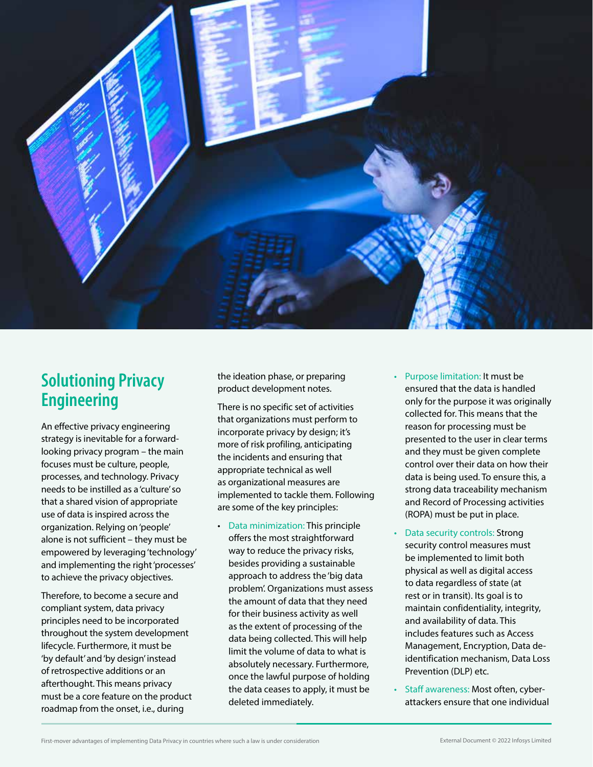![](_page_5_Picture_0.jpeg)

### **Solutioning Privacy Engineering**

An effective privacy engineering strategy is inevitable for a forwardlooking privacy program – the main focuses must be culture, people, processes, and technology. Privacy needs to be instilled as a 'culture' so that a shared vision of appropriate use of data is inspired across the organization. Relying on 'people' alone is not sufficient – they must be empowered by leveraging 'technology' and implementing the right 'processes' to achieve the privacy objectives.

Therefore, to become a secure and compliant system, data privacy principles need to be incorporated throughout the system development lifecycle. Furthermore, it must be 'by default' and 'by design' instead of retrospective additions or an afterthought. This means privacy must be a core feature on the product roadmap from the onset, i.e., during

the ideation phase, or preparing product development notes.

There is no specific set of activities that organizations must perform to incorporate privacy by design; it's more of risk profiling, anticipating the incidents and ensuring that appropriate technical as well as organizational measures are implemented to tackle them. Following are some of the key principles:

- Data minimization: This principle offers the most straightforward way to reduce the privacy risks, besides providing a sustainable approach to address the 'big data problem'. Organizations must assess the amount of data that they need for their business activity as well as the extent of processing of the data being collected. This will help limit the volume of data to what is absolutely necessary. Furthermore, once the lawful purpose of holding the data ceases to apply, it must be deleted immediately.
- Purpose limitation: It must be ensured that the data is handled only for the purpose it was originally collected for. This means that the reason for processing must be presented to the user in clear terms and they must be given complete control over their data on how their data is being used. To ensure this, a strong data traceability mechanism and Record of Processing activities (ROPA) must be put in place.
- Data security controls: Strong security control measures must be implemented to limit both physical as well as digital access to data regardless of state (at rest or in transit). Its goal is to maintain confidentiality, integrity, and availability of data. This includes features such as Access Management, Encryption, Data deidentification mechanism, Data Loss Prevention (DLP) etc.
- Staff awareness: Most often, cyberattackers ensure that one individual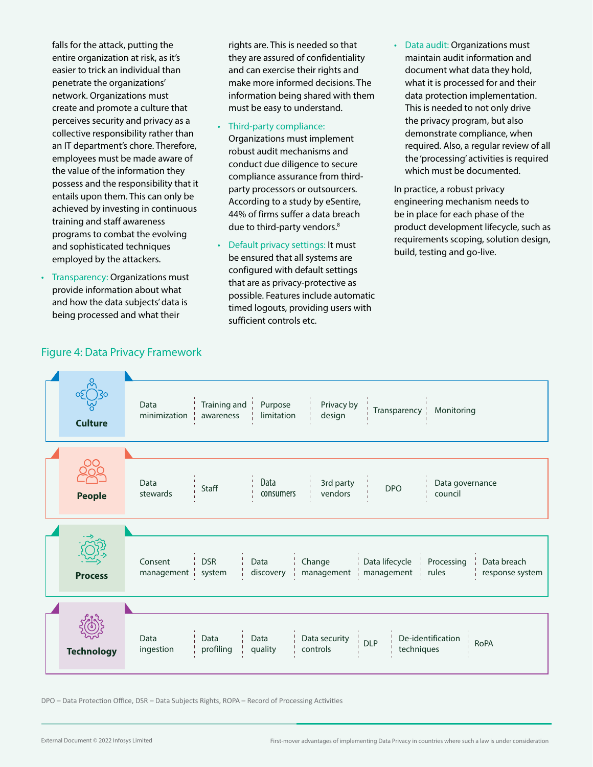falls for the attack, putting the entire organization at risk, as it's easier to trick an individual than penetrate the organizations' network. Organizations must create and promote a culture that perceives security and privacy as a collective responsibility rather than an IT department's chore. Therefore, employees must be made aware of the value of the information they possess and the responsibility that it entails upon them. This can only be achieved by investing in continuous training and staff awareness programs to combat the evolving and sophisticated techniques employed by the attackers.

• Transparency: Organizations must provide information about what and how the data subjects' data is being processed and what their

rights are. This is needed so that they are assured of confidentiality and can exercise their rights and make more informed decisions. The information being shared with them must be easy to understand.

- Third-party compliance:
- Organizations must implement robust audit mechanisms and conduct due diligence to secure compliance assurance from thirdparty processors or outsourcers. According to a study by eSentire, 44% of firms suffer a data breach due to third-party vendors.<sup>8</sup>
- Default privacy settings: It must be ensured that all systems are configured with default settings that are as privacy-protective as possible. Features include automatic timed logouts, providing users with sufficient controls etc.
- Data audit: Organizations must maintain audit information and document what data they hold, what it is processed for and their data protection implementation. This is needed to not only drive the privacy program, but also demonstrate compliance, when required. Also, a regular review of all the 'processing' activities is required which must be documented.

In practice, a robust privacy engineering mechanism needs to be in place for each phase of the product development lifecycle, such as requirements scoping, solution design, build, testing and go-live.

![](_page_6_Figure_8.jpeg)

DPO – Data Protection Office, DSR – Data Subjects Rights, ROPA – Record of Processing Activities

#### Figure 4: Data Privacy Framework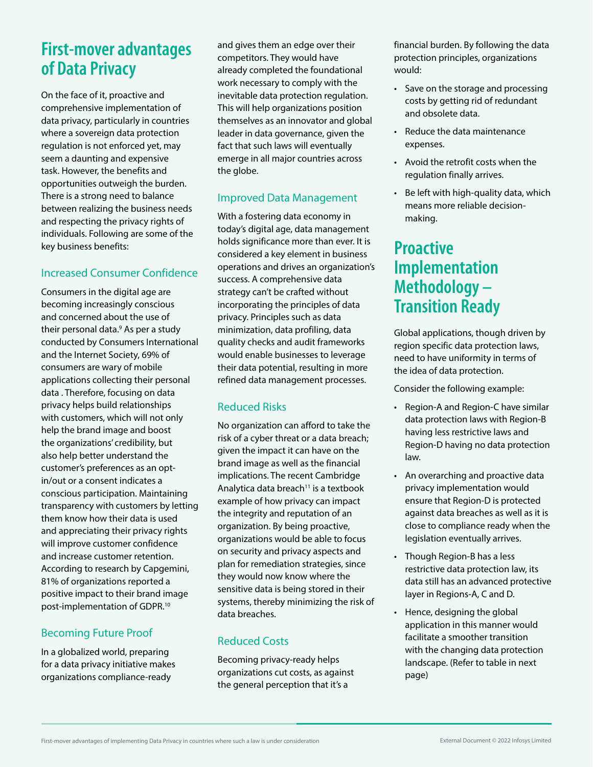### **First-mover advantages of Data Privacy**

On the face of it, proactive and comprehensive implementation of data privacy, particularly in countries where a sovereign data protection regulation is not enforced yet, may seem a daunting and expensive task. However, the benefits and opportunities outweigh the burden. There is a strong need to balance between realizing the business needs and respecting the privacy rights of individuals. Following are some of the key business benefits:

#### Increased Consumer Confidence

Consumers in the digital age are becoming increasingly conscious and concerned about the use of their personal data.<sup>9</sup> As per a study conducted by Consumers International and the Internet Society, 69% of consumers are wary of mobile applications collecting their personal data . Therefore, focusing on data privacy helps build relationships with customers, which will not only help the brand image and boost the organizations' credibility, but also help better understand the customer's preferences as an optin/out or a consent indicates a conscious participation. Maintaining transparency with customers by letting them know how their data is used and appreciating their privacy rights will improve customer confidence and increase customer retention. According to research by Capgemini, 81% of organizations reported a positive impact to their brand image post-implementation of GDPR.10

#### Becoming Future Proof

In a globalized world, preparing for a data privacy initiative makes organizations compliance-ready

and gives them an edge over their competitors. They would have already completed the foundational work necessary to comply with the inevitable data protection regulation. This will help organizations position themselves as an innovator and global leader in data governance, given the fact that such laws will eventually emerge in all major countries across the globe.

#### Improved Data Management

With a fostering data economy in today's digital age, data management holds significance more than ever. It is considered a key element in business operations and drives an organization's success. A comprehensive data strategy can't be crafted without incorporating the principles of data privacy. Principles such as data minimization, data profiling, data quality checks and audit frameworks would enable businesses to leverage their data potential, resulting in more refined data management processes.

### Reduced Risks

No organization can afford to take the risk of a cyber threat or a data breach; given the impact it can have on the brand image as well as the financial implications. The recent Cambridge Analytica data breach $11$  is a textbook example of how privacy can impact the integrity and reputation of an organization. By being proactive, organizations would be able to focus on security and privacy aspects and plan for remediation strategies, since they would now know where the sensitive data is being stored in their systems, thereby minimizing the risk of data breaches.

### Reduced Costs

Becoming privacy-ready helps organizations cut costs, as against the general perception that it's a

financial burden. By following the data protection principles, organizations would:

- Save on the storage and processing costs by getting rid of redundant and obsolete data.
- Reduce the data maintenance expenses.
- Avoid the retrofit costs when the regulation finally arrives.
- Be left with high-quality data, which means more reliable decisionmaking.

### **Proactive Implementation Methodology – Transition Ready**

Global applications, though driven by region specific data protection laws, need to have uniformity in terms of the idea of data protection.

Consider the following example:

- Region-A and Region-C have similar data protection laws with Region-B having less restrictive laws and Region-D having no data protection law.
- An overarching and proactive data privacy implementation would ensure that Region-D is protected against data breaches as well as it is close to compliance ready when the legislation eventually arrives.
- Though Region-B has a less restrictive data protection law, its data still has an advanced protective layer in Regions-A, C and D.
- Hence, designing the global application in this manner would facilitate a smoother transition with the changing data protection landscape. (Refer to table in next page)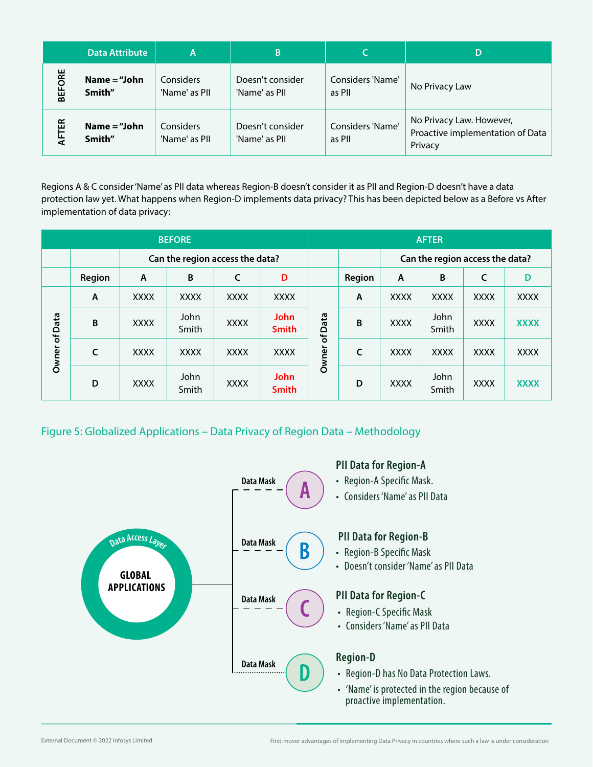|               | <b>Data Attribute</b>    | A                          | B                                 |                            | D                                                                       |
|---------------|--------------------------|----------------------------|-----------------------------------|----------------------------|-------------------------------------------------------------------------|
| <b>BEFORE</b> | Name $=$ "John<br>Smith" | Considers<br>'Name' as PII | Doesn't consider<br>'Name' as PII | Considers 'Name'<br>as PII | No Privacy Law                                                          |
| AFTER         | Name $=$ "John<br>Smith" | Considers<br>'Name' as PII | Doesn't consider<br>'Name' as PII | Considers 'Name'<br>as PII | No Privacy Law. However,<br>Proactive implementation of Data<br>Privacy |

Regions A & C consider 'Name' as PII data whereas Region-B doesn't consider it as PII and Region-D doesn't have a data protection law yet. What happens when Region-D implements data privacy? This has been depicted below as a Before vs After implementation of data privacy:

| <b>BEFORE</b> |              |                                 |               |             |                             | <b>AFTER</b>            |              |                                 |               |             |             |
|---------------|--------------|---------------------------------|---------------|-------------|-----------------------------|-------------------------|--------------|---------------------------------|---------------|-------------|-------------|
|               |              | Can the region access the data? |               |             |                             |                         |              | Can the region access the data? |               |             |             |
|               | Region       | $\mathsf{A}$                    | B             | C           | D                           |                         | Region       | $\mathsf{A}$                    | B             | C           | D           |
| Owner of Data | $\mathsf{A}$ | <b>XXXX</b>                     | <b>XXXX</b>   | <b>XXXX</b> | <b>XXXX</b>                 |                         | $\mathsf{A}$ | <b>XXXX</b>                     | <b>XXXX</b>   | <b>XXXX</b> | <b>XXXX</b> |
|               | B            | <b>XXXX</b>                     | John<br>Smith | <b>XXXX</b> | <b>John</b><br><b>Smith</b> | Data                    | B            | <b>XXXX</b>                     | John<br>Smith | <b>XXXX</b> | <b>XXXX</b> |
|               | C            | <b>XXXX</b>                     | <b>XXXX</b>   | <b>XXXX</b> | <b>XXXX</b>                 | $\mathfrak{b}$<br>Owner | C            | <b>XXXX</b>                     | <b>XXXX</b>   | <b>XXXX</b> | <b>XXXX</b> |
|               | D            | <b>XXXX</b>                     | John<br>Smith | <b>XXXX</b> | <b>John</b><br><b>Smith</b> |                         | D            | <b>XXXX</b>                     | John<br>Smith | <b>XXXX</b> | <b>XXXX</b> |

Figure 5: Globalized Applications – Data Privacy of Region Data – Methodology

![](_page_8_Figure_4.jpeg)

External Document © 2022 Infosys Limited First-mover advantages of implementing Data Privacy in countries where such a law is under consideration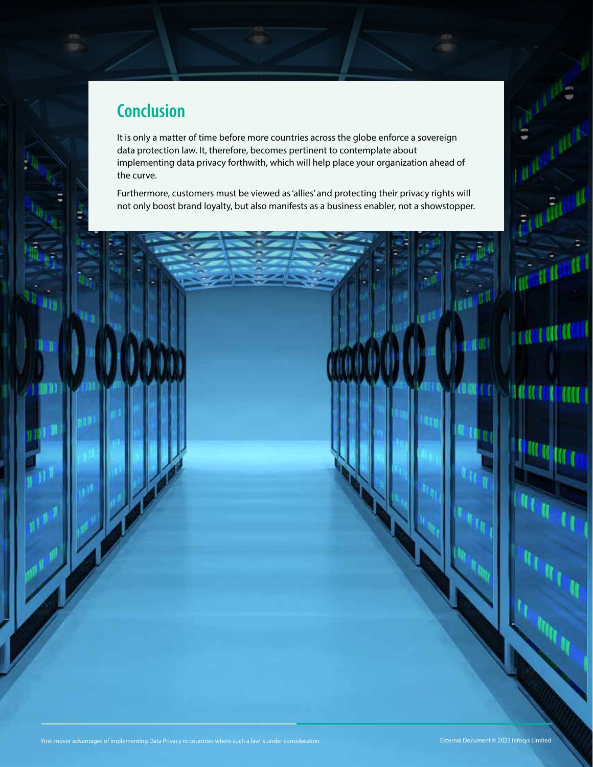## **Conclusion**

H B

It is only a matter of time before more countries across the globe enforce a sovereign data protection law. It, therefore, becomes pertinent to contemplate about implementing data privacy forthwith, which will help place your organization ahead of the curve.

Furthermore, customers must be viewed as 'allies' and protecting their privacy rights will not only boost brand loyalty, but also manifests as a business enabler, not a showstopper.

**Support of the United States** 

**TROUGHLICHE** 

**TO ANTI LITTERY** 

**ALL**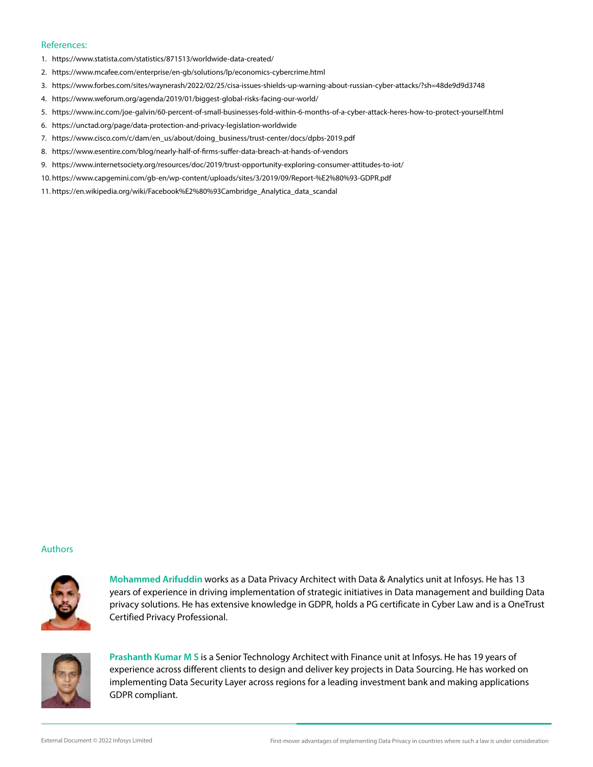#### References:

- 1. https://www.statista.com/statistics/871513/worldwide-data-created/
- 2. https://www.mcafee.com/enterprise/en-gb/solutions/lp/economics-cybercrime.html
- 3. https://www.forbes.com/sites/waynerash/2022/02/25/cisa-issues-shields-up-warning-about-russian-cyber-attacks/?sh=48de9d9d3748
- 4. https://www.weforum.org/agenda/2019/01/biggest-global-risks-facing-our-world/
- 5. https://www.inc.com/joe-galvin/60-percent-of-small-businesses-fold-within-6-months-of-a-cyber-attack-heres-how-to-protect-yourself.html
- 6. https://unctad.org/page/data-protection-and-privacy-legislation-worldwide
- 7. https://www.cisco.com/c/dam/en\_us/about/doing\_business/trust-center/docs/dpbs-2019.pdf
- 8. https://www.esentire.com/blog/nearly-half-of-firms-suffer-data-breach-at-hands-of-vendors
- 9. https://www.internetsociety.org/resources/doc/2019/trust-opportunity-exploring-consumer-attitudes-to-iot/
- 10. https://www.capgemini.com/gb-en/wp-content/uploads/sites/3/2019/09/Report-%E2%80%93-GDPR.pdf
- 11. [https://en.wikipedia.org/wiki/Facebook%E2%80%93Cambridge\\_Analytica\\_data\\_scandal](https://en.wikipedia.org/wiki/Facebook%E2%80%93Cambridge_Analytica_data_scandal)

#### Authors

![](_page_10_Picture_13.jpeg)

**Mohammed Arifuddin** works as a Data Privacy Architect with Data & Analytics unit at Infosys. He has 13 years of experience in driving implementation of strategic initiatives in Data management and building Data privacy solutions. He has extensive knowledge in GDPR, holds a PG certificate in Cyber Law and is a OneTrust Certified Privacy Professional.

![](_page_10_Picture_15.jpeg)

**Prashanth Kumar M S** is a Senior Technology Architect with Finance unit at Infosys. He has 19 years of experience across different clients to design and deliver key projects in Data Sourcing. He has worked on implementing Data Security Layer across regions for a leading investment bank and making applications GDPR compliant.